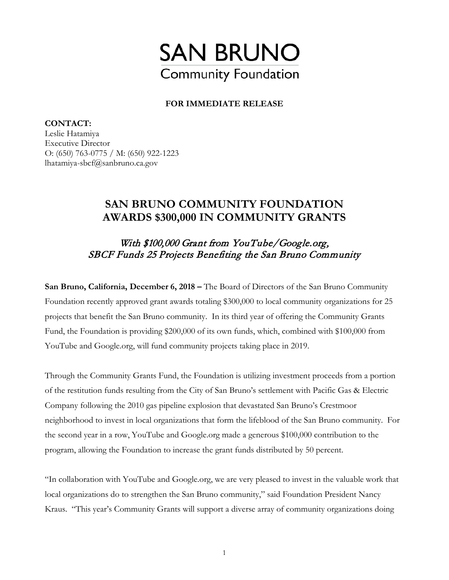

## **FOR IMMEDIATE RELEASE**

**CONTACT:**  Leslie Hatamiya Executive Director O: (650) 763-0775 / M: (650) 922-1223 lhatamiya-sbcf@sanbruno.ca.gov

## **SAN BRUNO COMMUNITY FOUNDATION AWARDS \$300,000 IN COMMUNITY GRANTS**

## With \$100,000 Grant from YouTube/Google.org, SBCF Funds 25 Projects Benefiting the San Bruno Community

**San Bruno, California, December 6, 2018 –** The Board of Directors of the San Bruno Community Foundation recently approved grant awards totaling \$300,000 to local community organizations for 25 projects that benefit the San Bruno community. In its third year of offering the Community Grants Fund, the Foundation is providing \$200,000 of its own funds, which, combined with \$100,000 from YouTube and Google.org, will fund community projects taking place in 2019.

Through the Community Grants Fund, the Foundation is utilizing investment proceeds from a portion of the restitution funds resulting from the City of San Bruno's settlement with Pacific Gas & Electric Company following the 2010 gas pipeline explosion that devastated San Bruno's Crestmoor neighborhood to invest in local organizations that form the lifeblood of the San Bruno community. For the second year in a row, YouTube and Google.org made a generous \$100,000 contribution to the program, allowing the Foundation to increase the grant funds distributed by 50 percent.

"In collaboration with YouTube and Google.org, we are very pleased to invest in the valuable work that local organizations do to strengthen the San Bruno community," said Foundation President Nancy Kraus. "This year's Community Grants will support a diverse array of community organizations doing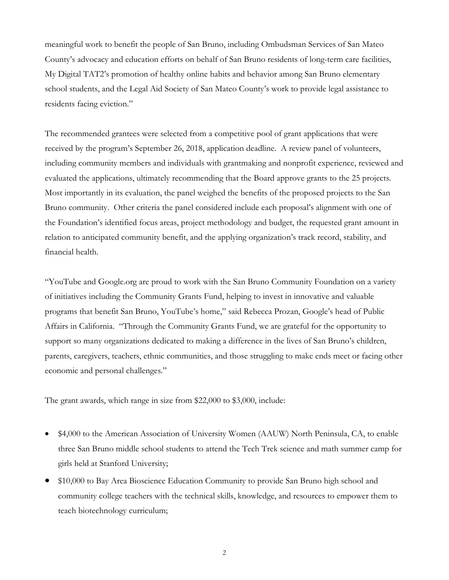meaningful work to benefit the people of San Bruno, including Ombudsman Services of San Mateo County's advocacy and education efforts on behalf of San Bruno residents of long-term care facilities, My Digital TAT2's promotion of healthy online habits and behavior among San Bruno elementary school students, and the Legal Aid Society of San Mateo County's work to provide legal assistance to residents facing eviction."

The recommended grantees were selected from a competitive pool of grant applications that were received by the program's September 26, 2018, application deadline. A review panel of volunteers, including community members and individuals with grantmaking and nonprofit experience, reviewed and evaluated the applications, ultimately recommending that the Board approve grants to the 25 projects. Most importantly in its evaluation, the panel weighed the benefits of the proposed projects to the San Bruno community. Other criteria the panel considered include each proposal's alignment with one of the Foundation's identified focus areas, project methodology and budget, the requested grant amount in relation to anticipated community benefit, and the applying organization's track record, stability, and financial health.

"YouTube and Google.org are proud to work with the San Bruno Community Foundation on a variety of initiatives including the Community Grants Fund, helping to invest in innovative and valuable programs that benefit San Bruno, YouTube's home," said Rebecca Prozan, Google's head of Public Affairs in California. "Through the Community Grants Fund, we are grateful for the opportunity to support so many organizations dedicated to making a difference in the lives of San Bruno's children, parents, caregivers, teachers, ethnic communities, and those struggling to make ends meet or facing other economic and personal challenges."

The grant awards, which range in size from \$22,000 to \$3,000, include:

- \$4,000 to the American Association of University Women (AAUW) North Peninsula, CA, to enable three San Bruno middle school students to attend the Tech Trek science and math summer camp for girls held at Stanford University;
- \$10,000 to Bay Area Bioscience Education Community to provide San Bruno high school and community college teachers with the technical skills, knowledge, and resources to empower them to teach biotechnology curriculum;

2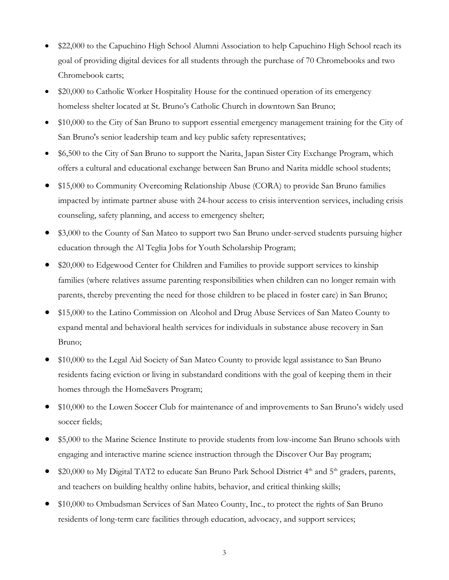- \$22,000 to the Capuchino High School Alumni Association to help Capuchino High School reach its goal of providing digital devices for all students through the purchase of 70 Chromebooks and two Chromebook carts;
- \$20,000 to Catholic Worker Hospitality House for the continued operation of its emergency homeless shelter located at St. Bruno's Catholic Church in downtown San Bruno;
- \$10,000 to the City of San Bruno to support essential emergency management training for the City of San Bruno's senior leadership team and key public safety representatives;
- \$6,500 to the City of San Bruno to support the Narita, Japan Sister City Exchange Program, which offers a cultural and educational exchange between San Bruno and Narita middle school students;
- \$15,000 to Community Overcoming Relationship Abuse (CORA) to provide San Bruno families impacted by intimate partner abuse with 24-hour access to crisis intervention services, including crisis counseling, safety planning, and access to emergency shelter;
- \$3,000 to the County of San Mateo to support two San Bruno under-served students pursuing higher education through the Al Teglia Jobs for Youth Scholarship Program;
- \$20,000 to Edgewood Center for Children and Families to provide support services to kinship families (where relatives assume parenting responsibilities when children can no longer remain with parents, thereby preventing the need for those children to be placed in foster care) in San Bruno;
- \$15,000 to the Latino Commission on Alcohol and Drug Abuse Services of San Mateo County to expand mental and behavioral health services for individuals in substance abuse recovery in San Bruno;
- \$10,000 to the Legal Aid Society of San Mateo County to provide legal assistance to San Bruno residents facing eviction or living in substandard conditions with the goal of keeping them in their homes through the HomeSavers Program;
- \$10,000 to the Lowen Soccer Club for maintenance of and improvements to San Bruno's widely used soccer fields;
- \$5,000 to the Marine Science Institute to provide students from low-income San Bruno schools with engaging and interactive marine science instruction through the Discover Our Bay program;
- \$20,000 to My Digital TAT2 to educate San Bruno Park School District 4<sup>th</sup> and 5<sup>th</sup> graders, parents, and teachers on building healthy online habits, behavior, and critical thinking skills;
- \$10,000 to Ombudsman Services of San Mateo County, Inc., to protect the rights of San Bruno residents of long-term care facilities through education, advocacy, and support services;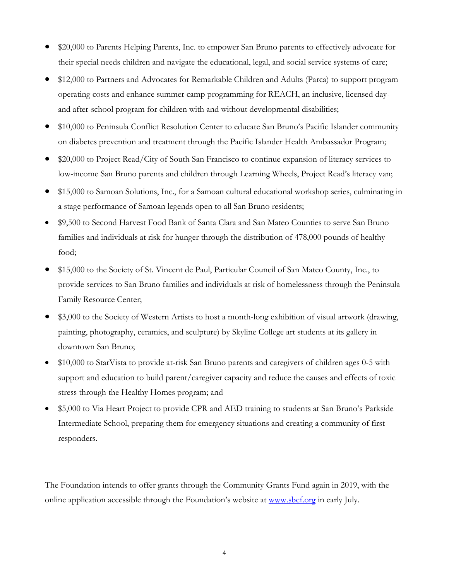- \$20,000 to Parents Helping Parents, Inc. to empower San Bruno parents to effectively advocate for their special needs children and navigate the educational, legal, and social service systems of care;
- \$12,000 to Partners and Advocates for Remarkable Children and Adults (Parca) to support program operating costs and enhance summer camp programming for REACH, an inclusive, licensed dayand after-school program for children with and without developmental disabilities;
- \$10,000 to Peninsula Conflict Resolution Center to educate San Bruno's Pacific Islander community on diabetes prevention and treatment through the Pacific Islander Health Ambassador Program;
- \$20,000 to Project Read/City of South San Francisco to continue expansion of literacy services to low-income San Bruno parents and children through Learning Wheels, Project Read's literacy van;
- \$15,000 to Samoan Solutions, Inc., for a Samoan cultural educational workshop series, culminating in a stage performance of Samoan legends open to all San Bruno residents;
- \$9,500 to Second Harvest Food Bank of Santa Clara and San Mateo Counties to serve San Bruno families and individuals at risk for hunger through the distribution of 478,000 pounds of healthy food;
- \$15,000 to the Society of St. Vincent de Paul, Particular Council of San Mateo County, Inc., to provide services to San Bruno families and individuals at risk of homelessness through the Peninsula Family Resource Center;
- \$3,000 to the Society of Western Artists to host a month-long exhibition of visual artwork (drawing, painting, photography, ceramics, and sculpture) by Skyline College art students at its gallery in downtown San Bruno;
- \$10,000 to StarVista to provide at-risk San Bruno parents and caregivers of children ages 0-5 with support and education to build parent/caregiver capacity and reduce the causes and effects of toxic stress through the Healthy Homes program; and
- \$5,000 to Via Heart Project to provide CPR and AED training to students at San Bruno's Parkside Intermediate School, preparing them for emergency situations and creating a community of first responders.

The Foundation intends to offer grants through the Community Grants Fund again in 2019, with the online application accessible through the Foundation's website at [www.sbcf.org](http://www.sbcf.org/) in early July.